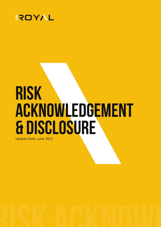

# **RISK ACKNOWLEDGEMENT & DISCLOSURE**

Update Date: June 2021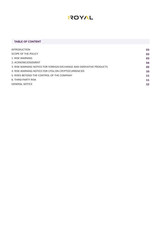# **AYOTS**

# **TABLE OF CONTENT**

| <b>INTRODUCTION</b>                                                 | 03 |
|---------------------------------------------------------------------|----|
| SCOPE OF THE POLICY                                                 | 03 |
| 1. RISK WARNING                                                     | 03 |
| 2. ACKNOWLEDGEMENT                                                  | 04 |
| 3. RISK WARNING NOTICE FOR FOREIGN EXCHANGE AND DERIVATIVE PRODUCTS | 05 |
| 4. RISK WARNING NOTICE FOR CFDs ON CRYPTOCURRENCIES                 | 10 |
| 5. RISKS BEYOND THE CONTROL OF THE COMPANY                          | 11 |
| 6. THIRD-PARTY RISK                                                 | 11 |
| <b>GENERAL NOTICE</b>                                               | 12 |
|                                                                     |    |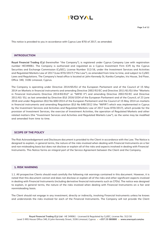

This notice is provided to you in accordance with Cyprus Law 87(I) of 2017, as amended.

# **INTRODUCTION**

**Royal Financial Trading (Cy)** (hereinafter "the Company"), is registered under Cyprus Company Law with registration number HE349061. The Company is authorized and regulated as a Cyprus Investment Firm (CIF) by the Cyprus Securities and Exchange Commission (CySEC), License Number 312/16, under the Investment Services and Activities and Regulated Markets Law of 2017 (Law 87(I)/2017) ("the Law"), as amended from time to time, and subject to CySEC Laws and Regulations. The Company's head office is located at John Kennedy St, Kanika Complex, Iris House, 3rd Floor, Office 340, 3106 Limassol, Cyprus.

The Company is operating under Directive 2014/65/EU of the European Parliament and of the Council of 15 May 2014 on Markets in financial instruments and amending Directive 2002/92/EC and Directive 2011/61/EU (the "Markets in Financial Instruments Directive 2014/65/EU)" or "MiFID II") and amending Directive 2002/92/EC and Directive 2011/61/ EU, as last amended by Directive (EU) 2016/1034 of the European Parliament and of the Council, of 23 June 2016 and under Regulation (EU) No 600/2014 of the European Parliament and the Council of 15 May 2014 on markets in financial instruments and amending Regulation (EU) No 648/2012 (the "MiFIR") which was implemented in Cyprus by the Investment Services and Activities and Regulated Markets Law of 2017 (Law 87(l)/2017), which provide for the provision of Investment Services, the exercise of Investment Activities, the operation of Regulated Markets and other related matters (the "Investment Services and Activities and Regulated Markets Law"), as the same may be modified and amended from time to time.

#### **SCOPE OF THE POLICY**

The Risk Acknowledgement and Disclosure document is provided to the Client in accordance with the Law. The Notice is designed to explain, in general terms, the nature of the risks involved when dealing with Financial Instruments on a fair and non-misleading basis but does not disclose or explain all of the risks and aspects involved in dealing with Financial Instruments. This Notice forms an integral part of the Service Agreement between the Client and the Company.

#### **1. RISK WARNING**

1.1. All prospective Clients should read carefully the following risk warnings contained in this document. However, it is noted that this document cannot and does not disclose or explain all of the risks and other significant aspects involved in dealing with Financial Instruments (including derivative financial instruments such as CFDs). The notice was designed to explain, in general terms, the nature of the risks involved when dealing with Financial Instruments on a fair and nonmisleading basis.

The Client should not engage in any investment, directly or indirectly, involving Financial Instruments unless he knows and understands the risks involved for each of the Financial Instruments. The Company will not provide the Client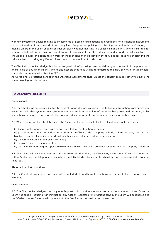

with any investment advice relating to investments or possible transactions in investments or in Financial Instruments or make investment recommendations of any kind. So, prior to applying for a trading account with the Company, or making an order, the Client should consider carefully whether investing in a specific Financial Instrument is suitable for him in the light of his circumstances and financial resources. If the Client does not understand the risks involved, he should seek advice and consultation from an independent financial advisor. If the Client still does not understand the risks involved in trading any Financial Instruments, he should not trade at all.

The Client should acknowledge that he runs a great risk of incurring losses and damages as a result of the purchase and/or sale of any Financial Instrument and accepts that he is willing to undertake this risk. 86.67% of retail investor accounts lose money when trading CFDs.

All words and expressions defined in the Operative Agreements shall, unless the context requires otherwise, have the same meaning in this document.

# **2. ACKNOWLEDGEMENT**

# **Technical risk**

2.1. The Client shall be responsible for the risks of financial losses caused by the failure of information, communication, electronic and other systems. Any system failure may result in the failure of the order being executed according to his instructions or being executed at all. The Company does not accept any liability in the case of such a failure.

2.2. While trading via the Client Terminal, the Client shall be responsible for the risks of financial losses caused by:

- (a) Client's or Company's hardware or software failure, malfunction or misuse;
- (b) poor Internet connection either on the side of the Client or the Company or both, or interruptions, transmission blackouts, public electricity network failures, hacker attacks or overload of connection;
- (c) the wrong settings in the Client Terminal;
- (d) delayed Client Terminal updates;
- (e) the Client disregarding the applicable rules described in the Client Terminal user guide and the Company's Website.

2.3. The Client acknowledges that, at times of excessive deal flow, the Client may have some difficulties connecting with a Dealer over the telephone, especially in a Volatile Market (for example, when key macroeconomic indicators are released).

### **Abnormal market conditions**

2.4. The Client acknowledges that, under Abnormal Market Conditions, Instructions and Requests for execution may be extended.

# **Client Terminal**

2.5. The Client acknowledges that only one Request or Instruction is allowed to be in the queue at a time. Once the Client has sent a Request or an Instruction, any further Requests or Instructions sent by the Client will be ignored and the "Order is locked" status will appear until the first Request or Instruction is executed.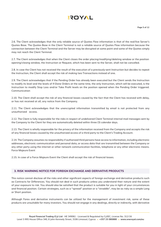

2.6. The Client acknowledges that the only reliable source of Quotes Flow information is that of the real/live Server's Quotes Base. The Quotes Base in the Client Terminal is not a reliable source of Quotes Flow information because the connection between the Client Terminal and the Server may be disrupted at some point and some of the Quotes simply may not reach the Client Terminal.

2.7. The Client acknowledges that when the Client closes the order placing/modifying/deleting window or the position opening/closing window, the Instruction or Request, which has been sent to the Server, shall not be cancelled.

2.8. In case the Client has not received the result of the execution of a previously-sent Instruction but decides to repeat the Instruction, the Client shall accept the risk of making two Transactions instead of one.

2.9. The Client acknowledges that if the Pending Order has already been executed but the Client sends the Instruction to modify its level and the levels of If-Done Orders at the same time, the only Instruction, which will be executed, is the Instruction to modify Stop Loss and/or Take Profit levels on the position opened when the Pending Order triggered. Communication

2.10. The Client shall accept the risk of any financial losses caused by the fact that the Client has received with delay, or has not received at all, any notice from the Company.

2.11. The Client acknowledges that the unencrypted information transmitted by email is not protected from any unauthorized access.

2.12. The Client is fully responsible for the risks in respect of undelivered Client Terminal internal mail messages sent by the Company to the Client for they are automatically deleted within three (3) calendar days.

2.13. The Client is wholly responsible for the privacy of the information received from the Company and accepts the risk of any financial losses caused by the unauthorized access of a third party to the Client's Trading Account.

2.14. The Company assumes no responsibility if authorized third persons have access to information, including electronic addresses, electronic communication and personal data, or access data that are transmitted between the Company or any other party using the internet or other network communication facilities, telephone or any other electronic means. Force Majeure Event

2.15. In case of a Force Majeure Event the Client shall accept the risk of financial losses.

# **3. RISK WARNING NOTICE FOR FOREIGN EXCHANGE AND DERIVATIVE PRODUCTS**

This notice cannot disclose all the risks and other significant aspects of foreign exchange and derivative products such as Contracts for Differences. You should not deal in such products unless you understand their nature and the extent of your exposure to risk. You should also be satisfied that the product is suitable for you in light of your circumstances and financial position. Certain strategies, such as a "spread" position or a "straddle", may be as risky as a simple Long or Short position.

Although Forex and derivative instruments can be utilized for the management of investment risk, some of these products are unsuitable for many investors. You should not engage in any dealings, directly or indirectly, with derivative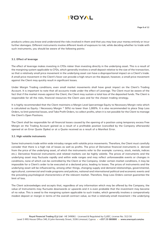# EROYAL

products unless you know and understand the risks involved in them and that you may lose your money entirely or incur further damages. Different instruments involve different levels of exposure to risk; while deciding whether to trade with such instruments, you should be aware of the following points:

# **3.1. Effect of leverage**

The effect of leverage makes investing in CFDs riskier than investing directly in the underlying asset. This is a result of the margining system applicable to CFDs, which generally involves a small deposit relative to the size of the transaction, so that a relatively small price movement in the underlying asset can have a disproportional impact on a Client's trade. A small price movement in the Client's favor can provide a high return on the deposit, however, a small price movement against the Client may quickly result in significant losses.

Under Margin Trading conditions, even small market movements shall have great impact on the Client's Trading Account. It is important to note that all accounts trade under the effect of Leverage. The Client must be aware of the fact that if the market moves against the Client, the Client may sustain a total loss of the deposited funds. The Client is responsible for all the risks, financial resources the Client uses and for the chosen trading strategy.

It is highly recommended that the Client maintains a Margin Level (percentage Equity to Necessary Margin ratio which is calculated as Equity / Necessary Margin \* 50%) no lower than 1,000%. It is also recommended to place Stop Loss Orders, to limit potential losses, and Take Profit Orders, to collect profits, when it is not possible for the Client to manage the Client's Open Positions.

The Client shall be responsible for all financial losses caused by the opening of a position using temporary excess Free Margin on the Trading Account gained as a result of a profitable position (cancelled by the Company afterwards) opened at an Error Quote (Spike) or at a Quote received as a result of a Manifest Error.

# **3.2. High volatile instruments**

Some Instruments trade within wide intraday ranges with volatile price movements. Therefore, the Client must carefully consider that there is a high risk of losses as well as profits. The price of Derivative financial instruments is derived from the price of the underlying asset, of which the instruments refer to (for example: currency, stock, metals, indices etc.). Derivative financial instruments and related markets can be highly volatile. The prices of instruments and the underlying asset may fluctuate rapidly and within wide ranges and may reflect unforeseeable events or changes in conditions, none of which can be controlled by the Client or the Company. Under certain market conditions, it may be impossible for a Client's order to be executed at a declared price, leading to losses. The prices of instruments and the underlying asset will be influenced by, among other things, changing supply and demand relationships, governmental, agricultural, commercial and trade programs and policies, national and international political and economic events and the prevailing psychological characteristics of the relevant market. Therefore, Stop Loss Orders cannot guarantee the limit of loss.

The Client acknowledges and accepts that, regardless of any information which may be offered by the Company, the value of Instruments may fluctuate downwards or upwards and it is even probable that the investment may become of no value. This is owed to the margining system applicable to such trades, which generally involves a comparatively modest deposit or margin in terms of the overall contract value, so that a relatively-small movement i the underlying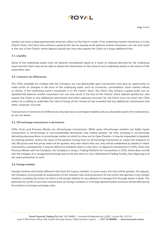

market can have a disproportionately-dramatic effect on the Client's trade. If the underlying market movement is in the Client's favor, the Client may achieve a good profit, but an equally-small adverse market movement can not only result in the loss of the Clients' entire deposit quickly but may also expose the Client to a large additional loss.

# **3.3. Liquidity**

Some of the underlying assets may not become immediately liquid as a result of reduced demand for the underlying asset and the Client may not be able to obtain the information on the value of such underlying assets or the extent of the associated risks.

# **3.4. Contracts for Differences**

The CFDs available for trading with the Company are non-deliverable spot transactions that give an opportunity to make profit on changes in the price of the underlying asset, such as currencies, commodities, stock market indices or shares. If the underlying asset's movement is in the Client's favor, the Client may achieve a good profit, but an equallysmall adverse market movement can not only result in the loss of the Clients' entire deposit quickly but also expose the Client to any additional commission and other expenses incurred. So, the Client must not enter into CFDs unless he is willing to undertake the risks of losing all the money he has invested and any additional commissions and other expenses incurred.

Transactions in Contracts for Differences may also have a contingent liability and you should be aware of its implications, as set out below.

# **3.5. Off-exchange transactions in derivatives**

CFDs, Forex and Precious Metals are off-exchange transactions. While some off-exchange markets are highly liquid, transactions in off-exchange or non-transferable derivatives may involve greater risk than investing in on-exchange derivatives because there is no exchange market on which to close out an Open Position. It may be impossible to liquidate an existing position, assess the value of the position arising from an off-exchange transaction or assess the exposure to risk. Bid prices and Ask prices need not be quoted, and, even where they are, they will be established by dealers in these instruments; consequently, it may be difficult to establish what is a fair price. In regard to transactions in CFDs, Forex and Precious Metals with the Company, the Company is using a Trading Platform for transactions in CFDs, which does not fall into the category of a recognized exchange due to the fact that it is not a Multilateral Trading Facility, thus depriving it of the same protection as such.

# **3.6. Foreign markets**

Foreign markets will involve different risks from the Cyprus markets. In some cases, the risks will be greater. On request, the Company must provide an explanation of the relevant risks and protections (if any) which will operate in any foreign markets, including the extent to which it will accept liability for any default of a foreign firm through whom it deals. The potential for profit or loss from transactions on foreign markets or in foreign-denominated contracts will be affected by fluctuations in foreign exchange rates.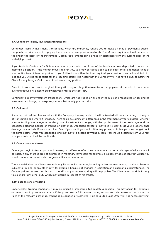

#### **3.7. Contingent liability investment transactions**

Contingent liability investment transactions, which are margined, require you to make a series of payments against the purchase price instead of paying the whole purchase price immediately. The Margin requirement will depend on the underlying asset of the instrument. Margin requirements can be fixed or calculated from the current price of the underlying asset.

If you trade in Contracts for Differences, you may sustain a total loss of the funds you have deposited to open and maintain a position. If the market moves against you, you may be called upon to pay substantial additional funds at short notice to maintain the position. If you fail to do so within the time required, your position may be liquidated at a loss and you will be responsible for the resulting deficit. It is noted that the Company will not have a duty to notify the Client for any Margin Call to sustain a loss-making position.

Even if a transaction is not margined, it may still carry an obligation to make further payments in certain circumstances over and above any amount paid when you entered the contract.

Contingent liability investment transactions, which are not traded on or under the rules of a recognized or designated investment exchange, may expose you to substantially greater risks.

#### **3.8. Collateral**

If you deposit collateral as security with the Company, the way in which it will be treated will vary according to the type of transaction and where it is traded. There could be significant differences in the treatment of your collateral whether you are trading in a recognized or designated investment exchange, with the applied rules of that exchange (and the associated clearing house), or trading off-exchange. Deposited collateral may lose its identity as your property once dealings on your behalf are undertaken. Even if your dealings should ultimately prove profitable, you may not get back the same assets, which you deposited, and may have to accept payment in cash. You should ascertain from your firm how your collateral will be dealt with.

#### **3.9. Commissions and taxes**

Before you begin to trade, you should make yourself aware of all the commissions and other charges of which you will be liable. If any charges are not expressed in monetary terms (but, for example, as a percentage of contract value), you should understand what such charges are likely to amount to.

There is a risk that the Client's trades in any Financial Instruments, including derivative instruments, may be or become subject to tax and/or any other duty; for example, because of changes in legislation or his personal circumstances. The Company does not warrant that no tax and/or any other stamp duty will be payable. The Client is responsible for any taxes and/or any other duty which may accrue in respect of his trades.

#### **3.10. Suspensions of trading**

Under certain trading conditions, it may be difficult or impossible to liquidate a position. This may occur, for example, at times of rapid price movement or if the price rises or falls in one trading session to such an extent that, under the rules of the relevant exchange, trading is suspended or restricted. Placing a Stop Loss Order will not necessarily limit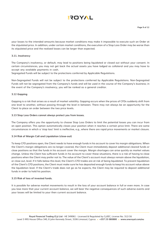

your losses to the intended amounts because market conditions may make it impossible to execute such an Order at the stipulated price. In addition, under certain market conditions, the execution of a Stop Loss Order may be worse than its stipulated price and the realized losses can be larger than expected.

#### **3.11. Insolvency**

The Company's insolvency, or default, may lead to positions being liquidated or closed out without your consent. In certain circumstances, you may not get back the actual assets you have lodged as collateral and you may have to accept any available payments in cash.

Segregated Funds will be subject to the protections conferred by Applicable Regulations.

Non-Segregated Funds will not be subject to the protections conferred by Applicable Regulations. Non-Segregated Funds will not be segregated from the Company's funds and will be used in the course of the Company's business; in the event of the Company's insolvency, you will be ranked as a general creditor.

#### **3.12 Gapping**

Gapping is a risk that arises as a result of market volatility. Gapping occurs when the prices of CFDs suddenly shift from one level to another, without passing through the level in between. There may not always be an opportunity for the Client to place an order between the two price levels.

#### **3.13 Stop Loss Orders cannot always protect you from losses.**

The Company offers you the opportunity to choose Stop Loss Orders to limit the potential losses you can incur from an open position. This option automatically closes your position when it reaches a certain price limit. There are some circumstances in which a 'stop loss' limit is ineffective, e.g., where there are rapid price movements or market closure.

# **3.14 Risk of Margin Call and Liquidation (close-out)**

To keep CFD positions open, the Client needs to have enough funds in his account to cover his margin obligations. When the Client's margin obligations are no longer covered, the Client must immediately deposit additional cleared funds or close positions so that the funds in his account cover the margin. Margin shortages can arise quickly as market values change. Unless the Client has sufficient funds in his account to cover these situations, there is a risk of having to close positions when the Client may prefer not to. The value of the Client's account must always remain above the liquidation, or close out, level. If it falls below this level, the Client's CFD trades are at risk of being liquidated. To prevent liquidation of the Client's CFD positions, the Client must make sure he has deposited enough funds to keep his account value above the liquidation level. If the Client's trade does not go as he expects, the Client may be required to deposit additional funds in order to hold his position.

# **3.15 Risk of loss of invested funds.**

It is possible for adverse market movements to result in the loss of your account balance in full or even more. In case you lose more that your current account balance, we will bear the negative consequences of such adverse events and your losses will be limited to your then current account balance.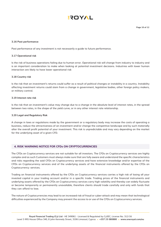# **EROYAL**

**Page 10 of 12**

### **3.16 Past performance**

Past performance of any investment is not necessarily a guide to future performance.

#### **3.17 Operational risk**

Is the risk of business operations failing due to human error. Operational risk will change from industry to industry and is an important consideration to make when looking at potential investment decisions. Industries with lower human interaction are likely to have lower operational risk

#### **3.18 Country risk**

Is the risk that an investment's returns could suffer as a result of political changes or instability in a country. Instability affecting investment returns could stem from a change in government, legislative bodies, other foreign policy makers, or military control.

#### **3.19 Interest rate risk**

Is the risk that an investment's value may change due to a change in the absolute level of interest rates, in the spread between two rates, in the shape of the yield curve, or in any other interest rate relationship.

#### **3.20 Legal and Regulatory Risk**

A change in laws or regulations made by the government or a regulatory body may increase the costs of operating a business, reduce the attractiveness of an investment and/or change the competitive landscape and by such materially alter the overall profit potential of your investment. This risk is unpredictable and may vary depending on the market for the underlying asset of a given CFD.

# **4. RISK WARNING NOTICE FOR CFDs ON CRYPTOCURRENCIES**

The CFDs on Cryptocurrency services are not suitable for all investors. The CFDs on Cryptocurrency services are highly complex and as such Customers must always make sure that are fully aware and understand the specific characteristics and risks regarding the said CFDs on Cryptocurrency services and have extensive knowledge and/or expertise of the CFDs on Cryptocurrency services and of the underlying assets of the financial instruments offered by the CFDs on Cryptocurrency services.

Trading on financial instruments offered by the CFDs on Cryptocurrency services carries a high risk of losing all your invested capital in your trading account and/or in a specific trade. Trading prices of the financial instruments and underlying assets offered by the CFDs on Cryptocurrency services carry high volatility and thereby can widely fluctuate or become temporarily or permanently unavailable, therefore clients should trade carefully and only with funds that they can afford to lose.

The nature of Cryptocurrencies may lead to an increased risk of fraud or cyber-attack and may mean that technological difficulties experienced by the Company may prevent the access to or use of the CFDs on Cryptocurrency services.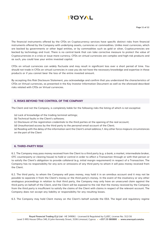

The financial instruments offered by the CFDs on Cryptocurrency services have specific distinct risks from financial instruments offered by the Company with underlying assets, currencies or commodities. Unlike most currencies, which are backed by governments or other legal entities, or by commodities such as gold or silver, Cryptocurrencies are backed by technology and trust. There is no central bank that can take corrective measure to protect the value of Cryptocurrencies in a crisis or issue more currency. CFDs on virtual currencies are complex and high-risk products and as such, you could lose your entire invested capital.

CFDs on virtual currencies can widely fluctuate and may result in significant loss over a short period of time. You should not trade in CFDs on virtual currencies in case you do not have the necessary knowledge and expertise in these products or if you cannot bear the loss of the entire invested amount.

By accepting this Risk Disclosure Statement, you acknowledge and confirm that you understand the characteristics of CFDs on Virtual currencies, as presented in the Key Investor Information Document as well as the aforesaid described risks related with CFDs on Virtual currencies.

# **5. RISKS BEYOND THE CONTROL OF THE COMPANY**

The Client and not the Company, is completely liable for the following risks the listing of which is not exceptive:

- (a) Lack of knowledge of the trading terminal settings;
- (b) Technical faults in the Client's software;
- (c) Disclosure of the registration credentials to the third parties at the opening of the real account;
- (d) Unauthorized access by the third party to the personal email account of the Client;

(e) Reading with the delay of the information sent the Client's email address; f. Any other force-majeure circumstances on the part of the Client

# **6. THIRD-PARTY RISK**

6.1. The Company may pass money received from the Client to a third party (e.g. a bank, a market, intermediate broker, OTC counterparty or clearing house) to hold or control in order to affect a Transaction through or with that person or to satisfy the Client's obligation to provide collateral (e.g. initial margin requirement) in respect of a Transaction. The Company has no responsibility for any acts or omissions of any third party to whom it will pass money received from the Client.

6.2. The third party, to whom the Company will pass money, may hold it in an omnibus account and it may not be possible to separate it from the Client's money or the third party's money. In the event of the insolvency or any other analogous proceedings in relation to that third party, the Company may only have an unsecured claim against the third party on behalf of the Client, and the Client will be exposed to the risk that the money received by the Company from the third party is insufficient to satisfy the claims of the Client with claims in respect of the relevant account. The Company does not accept any liability or responsibility for any resulting losses.

6.3. The Company may hold Client money on the Client's behalf outside the EEA. The legal and regulatory regime